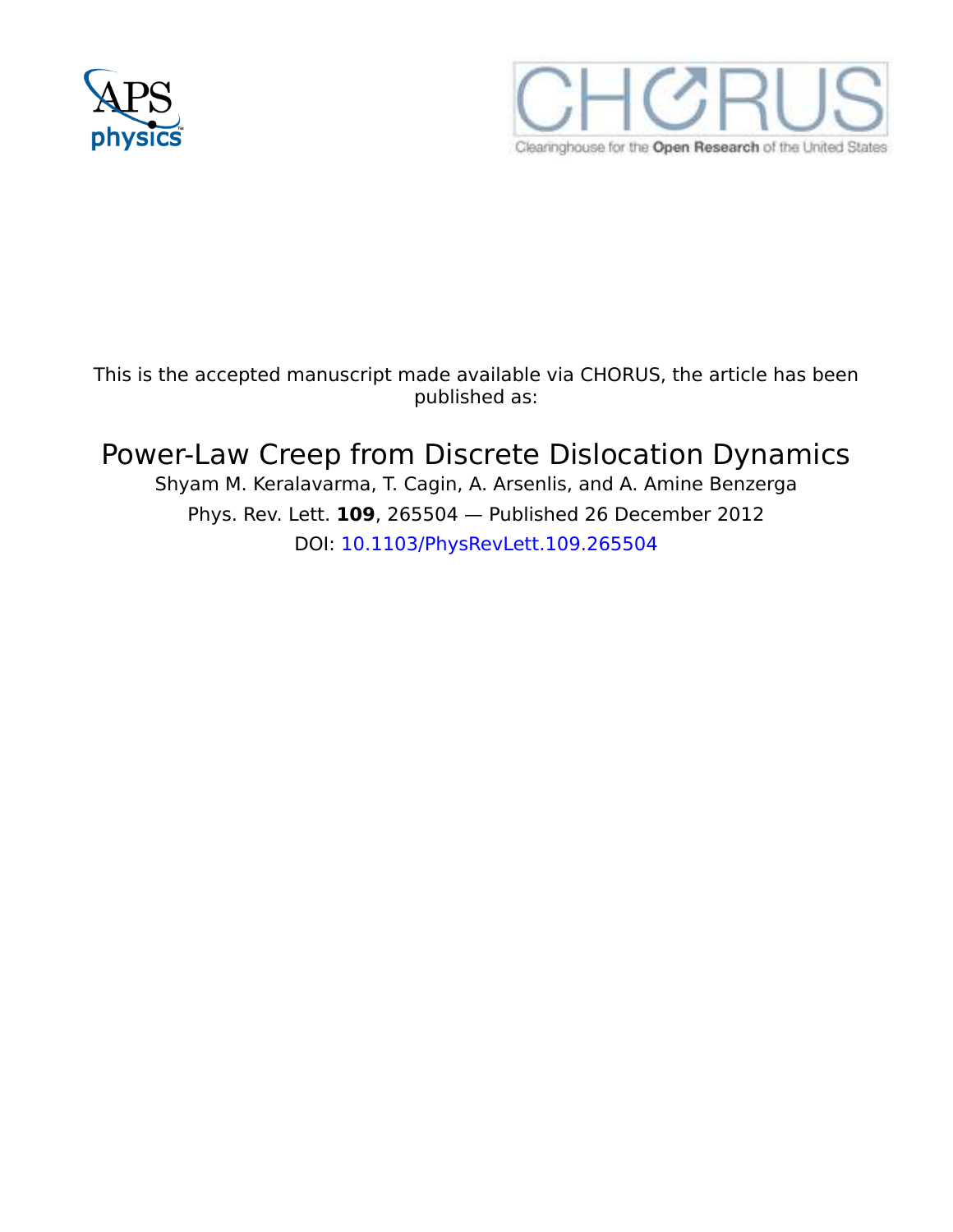



This is the accepted manuscript made available via CHORUS, the article has been published as:

## Power-Law Creep from Discrete Dislocation Dynamics

Shyam M. Keralavarma, T. Cagin, A. Arsenlis, and A. Amine Benzerga Phys. Rev. Lett. **109**, 265504 — Published 26 December 2012 DOI: 10.1103/PhysRevLett.109.265504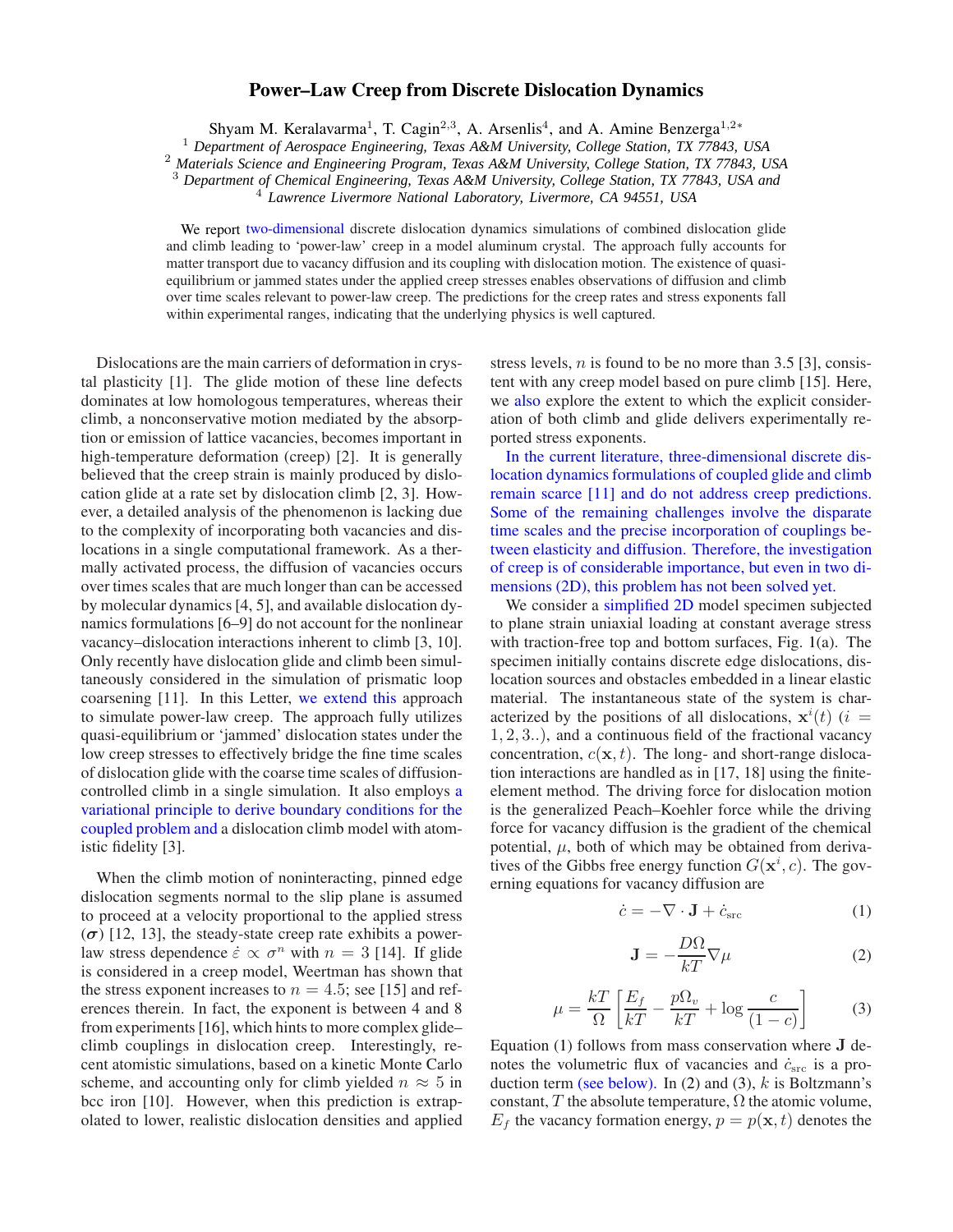## **Power–Law Creep from Discrete Dislocation Dynamics**

Shyam M. Keralavarma<sup>1</sup>, T. Cagin<sup>2,3</sup>, A. Arsenlis<sup>4</sup>, and A. Amine Benzerga<sup>1,2</sup>\*

<sup>1</sup> *Department of Aerospace Engineering, Texas A&M University, College Station, TX 77843, USA*

<sup>2</sup> *Materials Science and Engineering Program, Texas A&M University, College Station, TX 77843, USA*

<sup>3</sup> *Department of Chemical Engineering, Texas A&M University, College Station, TX 77843, USA and*

<sup>4</sup> *Lawrence Livermore National Laboratory, Livermore, CA 94551, USA*

We report two-dimensional discrete dislocation dynamics simulations of combined dislocation glide and climb leading to 'power-law' creep in a model aluminum crystal. The approach fully accounts for matter transport due to vacancy diffusion and its coupling with dislocation motion. The existence of quasiequilibrium or jammed states under the applied creep stresses enables observations of diffusion and climb over time scales relevant to power-law creep. The predictions for the creep rates and stress exponents fall within experimental ranges, indicating that the underlying physics is well captured.

Dislocations are the main carriers of deformation in crystal plasticity [1]. The glide motion of these line defects dominates at low homologous temperatures, whereas their climb, a nonconservative motion mediated by the absorption or emission of lattice vacancies, becomes important in high-temperature deformation (creep) [2]. It is generally believed that the creep strain is mainly produced by dislocation glide at a rate set by dislocation climb [2, 3]. However, a detailed analysis of the phenomenon is lacking due to the complexity of incorporating both vacancies and dislocations in a single computational framework. As a thermally activated process, the diffusion of vacancies occurs over times scales that are much longer than can be accessed by molecular dynamics [4, 5], and available dislocation dynamics formulations [6–9] do not account for the nonlinear vacancy–dislocation interactions inherent to climb [3, 10]. Only recently have dislocation glide and climb been simultaneously considered in the simulation of prismatic loop coarsening [11]. In this Letter, we extend this approach to simulate power-law creep. The approach fully utilizes quasi-equilibrium or 'jammed' dislocation states under the low creep stresses to effectively bridge the fine time scales of dislocation glide with the coarse time scales of diffusioncontrolled climb in a single simulation. It also employs a variational principle to derive boundary conditions for the coupled problem and a dislocation climb model with atomistic fidelity [3].

When the climb motion of noninteracting, pinned edge dislocation segments normal to the slip plane is assumed to proceed at a velocity proportional to the applied stress  $(\sigma)$  [12, 13], the steady-state creep rate exhibits a powerlaw stress dependence  $\dot{\varepsilon} \propto \sigma^n$  with  $n = 3$  [14]. If glide is considered in a creep model, Weertman has shown that the stress exponent increases to  $n = 4.5$ ; see [15] and references therein. In fact, the exponent is between 4 and 8 from experiments [16], which hints to more complex glide– climb couplings in dislocation creep. Interestingly, recent atomistic simulations, based on a kinetic Monte Carlo scheme, and accounting only for climb yielded  $n \approx 5$  in bcc iron [10]. However, when this prediction is extrapolated to lower, realistic dislocation densities and applied stress levels,  $n$  is found to be no more than 3.5 [3], consistent with any creep model based on pure climb [15]. Here, we also explore the extent to which the explicit consideration of both climb and glide delivers experimentally reported stress exponents.

In the current literature, three-dimensional discrete dislocation dynamics formulations of coupled glide and climb remain scarce [11] and do not address creep predictions. Some of the remaining challenges involve the disparate time scales and the precise incorporation of couplings between elasticity and diffusion. Therefore, the investigation of creep is of considerable importance, but even in two dimensions (2D), this problem has not been solved yet.

We consider a simplified 2D model specimen subjected to plane strain uniaxial loading at constant average stress with traction-free top and bottom surfaces, Fig. 1(a). The specimen initially contains discrete edge dislocations, dislocation sources and obstacles embedded in a linear elastic material. The instantaneous state of the system is characterized by the positions of all dislocations,  $\mathbf{x}^{i}(t)$  (*i* = 1, 2, 3..), and a continuous field of the fractional vacancy concentration,  $c(\mathbf{x}, t)$ . The long- and short-range dislocation interactions are handled as in [17, 18] using the finiteelement method. The driving force for dislocation motion is the generalized Peach–Koehler force while the driving force for vacancy diffusion is the gradient of the chemical potential,  $\mu$ , both of which may be obtained from derivatives of the Gibbs free energy function  $G(\mathbf{x}^i, c)$ . The governing equations for vacancy diffusion are

$$
\dot{c} = -\nabla \cdot \mathbf{J} + \dot{c}_{\rm src} \tag{1}
$$

$$
\mathbf{J} = -\frac{D\Omega}{kT}\nabla\mu\tag{2}
$$

$$
\mu = \frac{kT}{\Omega} \left[ \frac{E_f}{kT} - \frac{p\Omega_v}{kT} + \log \frac{c}{(1-c)} \right]
$$
(3)

Equation (1) follows from mass conservation where J denotes the volumetric flux of vacancies and  $\dot{c}_{\rm src}$  is a production term (see below). In (2) and (3),  $k$  is Boltzmann's constant,  $T$  the absolute temperature,  $\Omega$  the atomic volume,  $E_f$  the vacancy formation energy,  $p = p(\mathbf{x}, t)$  denotes the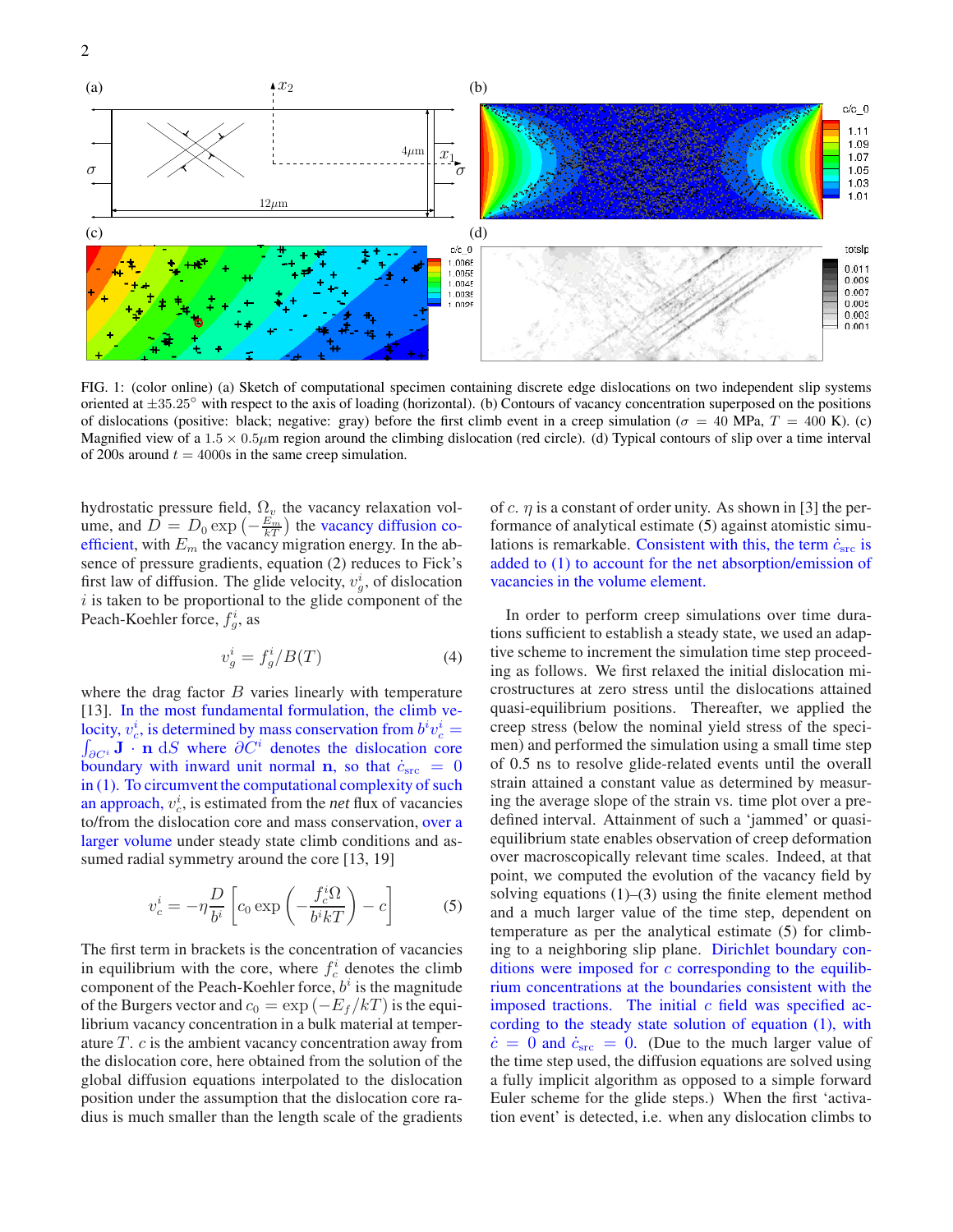

FIG. 1: (color online) (a) Sketch of computational specimen containing discrete edge dislocations on two independent slip systems oriented at  $\pm 35.25^\circ$  with respect to the axis of loading (horizontal). (b) Contours of vacancy concentration superposed on the positions of dislocations (positive: black; negative: gray) before the first climb event in a creep simulation ( $\sigma = 40$  MPa,  $T = 400$  K). (c) Magnified view of a  $1.5 \times 0.5 \mu m$  region around the climbing dislocation (red circle). (d) Typical contours of slip over a time interval of 200s around  $t = 4000s$  in the same creep simulation.

hydrostatic pressure field,  $\Omega_{\nu}$  the vacancy relaxation volume, and  $\overline{D} = D_0 \exp \left(-\frac{E_m}{kT}\right)$  $\frac{E_m}{kT}$ ) the vacancy diffusion coefficient, with  $E_m$  the vacancy migration energy. In the absence of pressure gradients, equation (2) reduces to Fick's first law of diffusion. The glide velocity,  $v_g^i$ , of dislocation  $i$  is taken to be proportional to the glide component of the Peach-Koehler force,  $f_g^i$ , as

$$
v_g^i = f_g^i / B(T) \tag{4}
$$

where the drag factor  $B$  varies linearly with temperature [13]. In the most fundamental formulation, the climb velocity,  $v_c^i$ , is determined by mass conservation from  $b^i v_c^i = \int_{\partial C^i} \mathbf{J} \cdot \mathbf{n} dS$  where  $\partial C^i$  denotes the dislocation core  $\partial_{\mathcal{O}}e^{i}$ **J** · **n** d*S* where  $\partial C^{i}$  denotes the dislocation core boundary with inward unit normal **n**, so that  $\dot{c}_{src} = 0$ in (1). To circumvent the computational complexity of such an approach,  $v_c^i$ , is estimated from the *net* flux of vacancies to/from the dislocation core and mass conservation, over a larger volume under steady state climb conditions and assumed radial symmetry around the core [13, 19]

$$
v_c^i = -\eta \frac{D}{b^i} \left[ c_0 \exp\left(-\frac{f_c^i \Omega}{b^i k T}\right) - c\right]
$$
 (5)

The first term in brackets is the concentration of vacancies in equilibrium with the core, where  $f_c^i$  denotes the climb component of the Peach-Koehler force,  $b^i$  is the magnitude of the Burgers vector and  $c_0 = \exp(-E_f/kT)$  is the equilibrium vacancy concentration in a bulk material at temperature T. c is the ambient vacancy concentration away from the dislocation core, here obtained from the solution of the global diffusion equations interpolated to the dislocation position under the assumption that the dislocation core radius is much smaller than the length scale of the gradients of c.  $\eta$  is a constant of order unity. As shown in [3] the performance of analytical estimate (5) against atomistic simulations is remarkable. Consistent with this, the term  $\dot{c}_{src}$  is added to (1) to account for the net absorption/emission of vacancies in the volume element.

In order to perform creep simulations over time durations sufficient to establish a steady state, we used an adaptive scheme to increment the simulation time step proceeding as follows. We first relaxed the initial dislocation microstructures at zero stress until the dislocations attained quasi-equilibrium positions. Thereafter, we applied the creep stress (below the nominal yield stress of the specimen) and performed the simulation using a small time step of 0.5 ns to resolve glide-related events until the overall strain attained a constant value as determined by measuring the average slope of the strain vs. time plot over a predefined interval. Attainment of such a 'jammed' or quasiequilibrium state enables observation of creep deformation over macroscopically relevant time scales. Indeed, at that point, we computed the evolution of the vacancy field by solving equations  $(1)$ – $(3)$  using the finite element method and a much larger value of the time step, dependent on temperature as per the analytical estimate (5) for climbing to a neighboring slip plane. Dirichlet boundary conditions were imposed for  $c$  corresponding to the equilibrium concentrations at the boundaries consistent with the imposed tractions. The initial  $c$  field was specified according to the steady state solution of equation (1), with  $\dot{c} = 0$  and  $\dot{c}_{\text{src}} = 0$ . (Due to the much larger value of the time step used, the diffusion equations are solved using a fully implicit algorithm as opposed to a simple forward Euler scheme for the glide steps.) When the first 'activation event' is detected, i.e. when any dislocation climbs to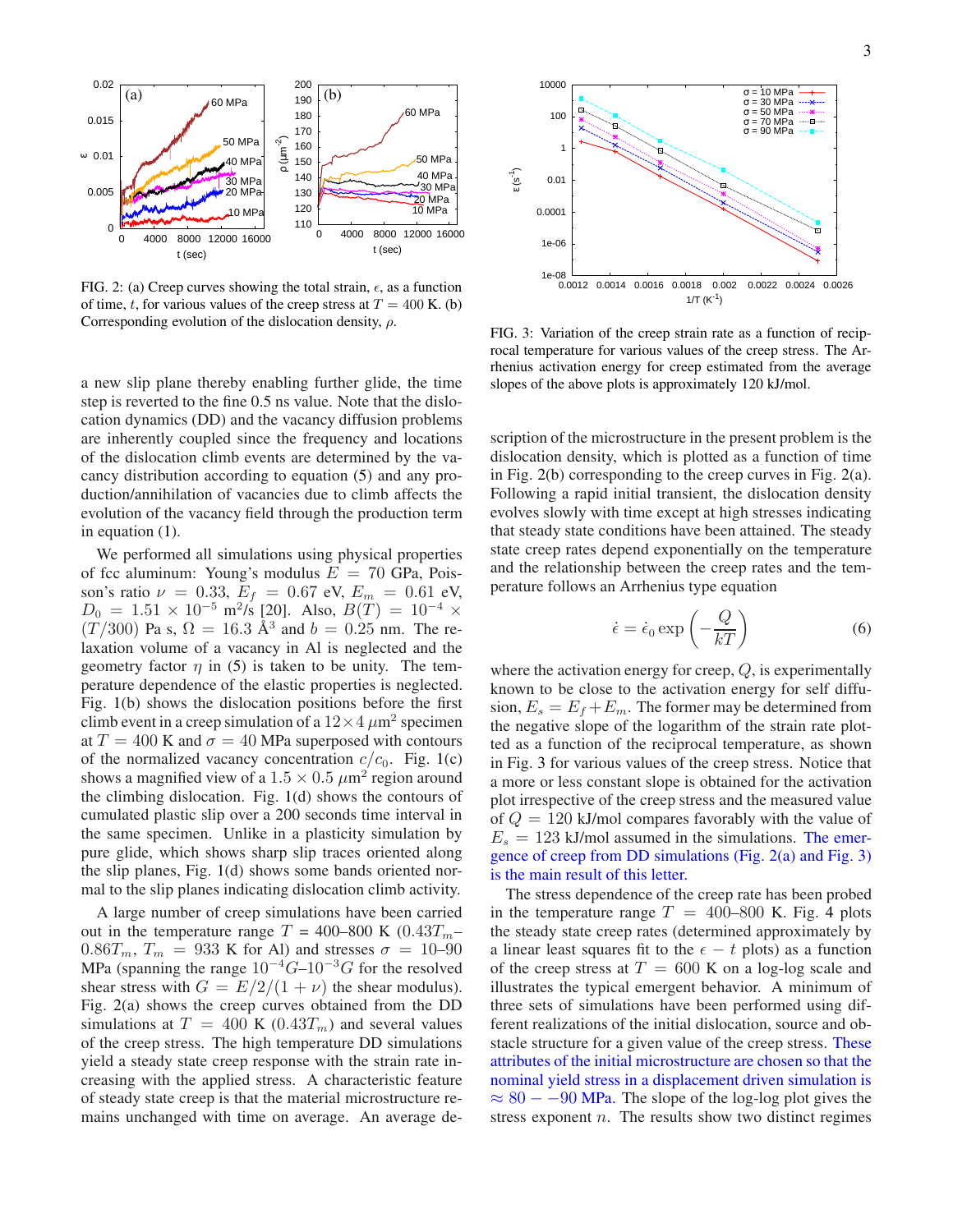3



FIG. 2: (a) Creep curves showing the total strain,  $\epsilon$ , as a function of time, t, for various values of the creep stress at  $T = 400$  K. (b) Corresponding evolution of the dislocation density,  $\rho$ .

a new slip plane thereby enabling further glide, the time step is reverted to the fine 0.5 ns value. Note that the dislocation dynamics (DD) and the vacancy diffusion problems are inherently coupled since the frequency and locations of the dislocation climb events are determined by the vacancy distribution according to equation (5) and any production/annihilation of vacancies due to climb affects the evolution of the vacancy field through the production term in equation (1).

We performed all simulations using physical properties of fcc aluminum: Young's modulus  $E = 70$  GPa, Poisson's ratio  $\nu = 0.33, E_f = 0.67$  eV,  $E_m = 0.61$  eV,  $D_0 = 1.51 \times 10^{-5}$  m<sup>2</sup>/s [20]. Also,  $B(T) = 10^{-4}$  ×  $(T/300)$  Pa s,  $\Omega = 16.3 \text{ Å}^3$  and  $b = 0.25 \text{ nm}$ . The relaxation volume of a vacancy in Al is neglected and the geometry factor  $\eta$  in (5) is taken to be unity. The temperature dependence of the elastic properties is neglected. Fig. 1(b) shows the dislocation positions before the first climb event in a creep simulation of a  $12 \times 4 \ \mu m^2$  specimen at  $T = 400$  K and  $\sigma = 40$  MPa superposed with contours of the normalized vacancy concentration  $c/c_0$ . Fig. 1(c) shows a magnified view of a  $1.5 \times 0.5 \ \mu \text{m}^2$  region around the climbing dislocation. Fig. 1(d) shows the contours of cumulated plastic slip over a 200 seconds time interval in the same specimen. Unlike in a plasticity simulation by pure glide, which shows sharp slip traces oriented along the slip planes, Fig. 1(d) shows some bands oriented normal to the slip planes indicating dislocation climb activity.

A large number of creep simulations have been carried out in the temperature range  $T = 400-800 \text{ K } (0.43T_m 0.86T_m$ ,  $T_m = 933$  K for Al) and stresses  $\sigma = 10-90$ MPa (spanning the range  $10^{-4}G-10^{-3}G$  for the resolved shear stress with  $G = E/2/(1 + \nu)$  the shear modulus). Fig. 2(a) shows the creep curves obtained from the DD simulations at  $T = 400$  K (0.43 $T<sub>m</sub>$ ) and several values of the creep stress. The high temperature DD simulations yield a steady state creep response with the strain rate increasing with the applied stress. A characteristic feature of steady state creep is that the material microstructure remains unchanged with time on average. An average de-



FIG. 3: Variation of the creep strain rate as a function of reciprocal temperature for various values of the creep stress. The Arrhenius activation energy for creep estimated from the average slopes of the above plots is approximately 120 kJ/mol.

scription of the microstructure in the present problem is the dislocation density, which is plotted as a function of time in Fig. 2(b) corresponding to the creep curves in Fig. 2(a). Following a rapid initial transient, the dislocation density evolves slowly with time except at high stresses indicating that steady state conditions have been attained. The steady state creep rates depend exponentially on the temperature and the relationship between the creep rates and the temperature follows an Arrhenius type equation

$$
\dot{\epsilon} = \dot{\epsilon}_0 \exp\left(-\frac{Q}{kT}\right) \tag{6}
$$

where the activation energy for creep,  $Q$ , is experimentally known to be close to the activation energy for self diffusion,  $E_s = E_f + E_m$ . The former may be determined from the negative slope of the logarithm of the strain rate plotted as a function of the reciprocal temperature, as shown in Fig. 3 for various values of the creep stress. Notice that a more or less constant slope is obtained for the activation plot irrespective of the creep stress and the measured value of  $Q = 120$  kJ/mol compares favorably with the value of  $E_s = 123$  kJ/mol assumed in the simulations. The emergence of creep from DD simulations (Fig. 2(a) and Fig. 3) is the main result of this letter.

The stress dependence of the creep rate has been probed in the temperature range  $T = 400-800$  K. Fig. 4 plots the steady state creep rates (determined approximately by a linear least squares fit to the  $\epsilon - t$  plots) as a function of the creep stress at  $T = 600$  K on a log-log scale and illustrates the typical emergent behavior. A minimum of three sets of simulations have been performed using different realizations of the initial dislocation, source and obstacle structure for a given value of the creep stress. These attributes of the initial microstructure are chosen so that the nominal yield stress in a displacement driven simulation is  $\approx 80 - -90$  MPa. The slope of the log-log plot gives the stress exponent  $n$ . The results show two distinct regimes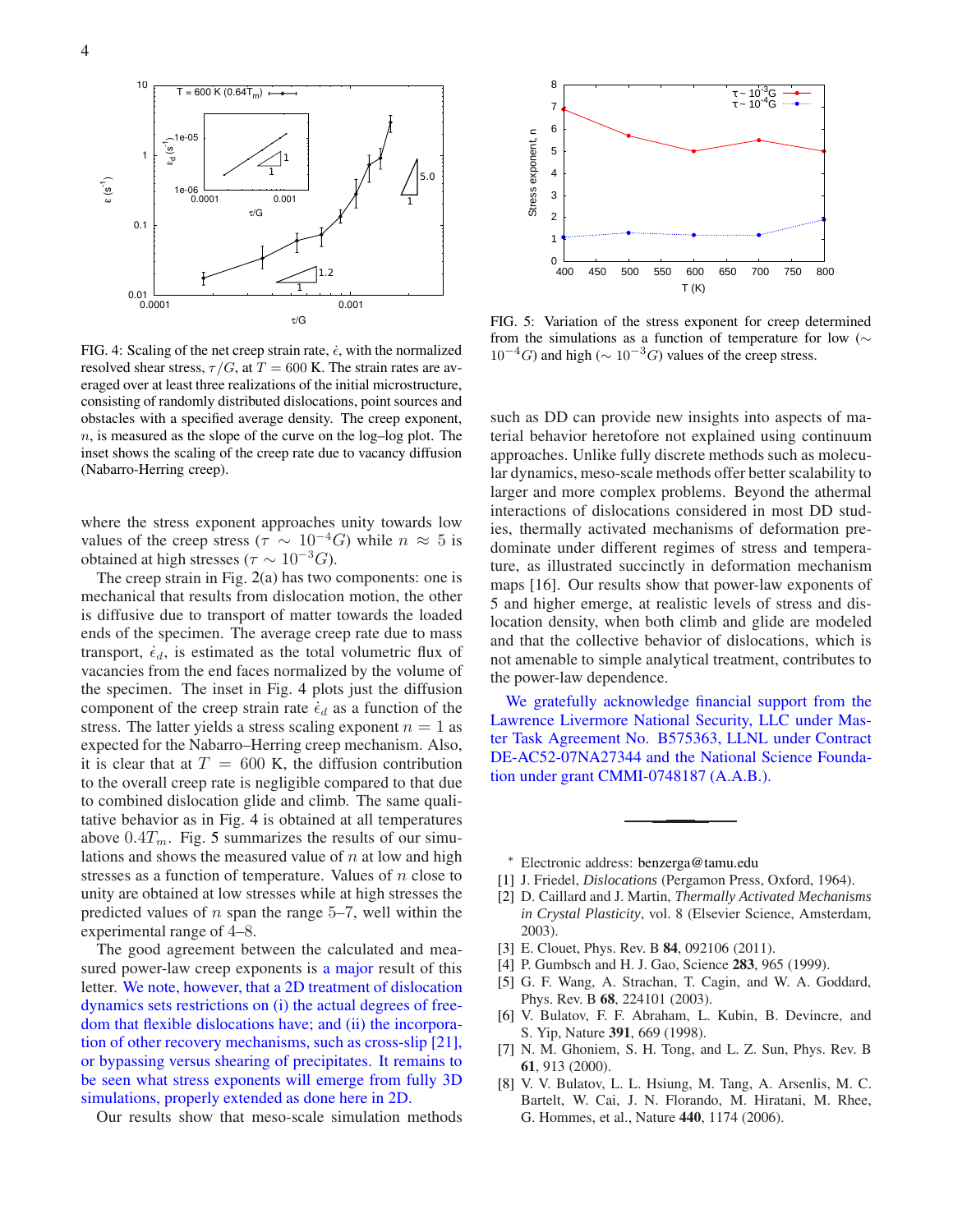

FIG. 4: Scaling of the net creep strain rate,  $\dot{\epsilon}$ , with the normalized resolved shear stress,  $\tau/G$ , at  $T = 600$  K. The strain rates are averaged over at least three realizations of the initial microstructure, consisting of randomly distributed dislocations, point sources and obstacles with a specified average density. The creep exponent,  $n$ , is measured as the slope of the curve on the log-log plot. The inset shows the scaling of the creep rate due to vacancy diffusion (Nabarro-Herring creep).

where the stress exponent approaches unity towards low values of the creep stress ( $\tau \sim 10^{-4} G$ ) while  $n \approx 5$  is obtained at high stresses ( $\tau \sim 10^{-3} G$ ).

The creep strain in Fig. 2(a) has two components: one is mechanical that results from dislocation motion, the other is diffusive due to transport of matter towards the loaded ends of the specimen. The average creep rate due to mass transport,  $\dot{\epsilon}_d$ , is estimated as the total volumetric flux of vacancies from the end faces normalized by the volume of the specimen. The inset in Fig. 4 plots just the diffusion component of the creep strain rate  $\dot{\epsilon}_d$  as a function of the stress. The latter yields a stress scaling exponent  $n = 1$  as expected for the Nabarro–Herring creep mechanism. Also, it is clear that at  $T = 600$  K, the diffusion contribution to the overall creep rate is negligible compared to that due to combined dislocation glide and climb. The same qualitative behavior as in Fig. 4 is obtained at all temperatures above  $0.4T_m$ . Fig. 5 summarizes the results of our simulations and shows the measured value of  $n$  at low and high stresses as a function of temperature. Values of  $n$  close to unity are obtained at low stresses while at high stresses the predicted values of  $n$  span the range 5–7, well within the experimental range of 4–8.

The good agreement between the calculated and measured power-law creep exponents is a major result of this letter. We note, however, that a 2D treatment of dislocation dynamics sets restrictions on (i) the actual degrees of freedom that flexible dislocations have; and (ii) the incorporation of other recovery mechanisms, such as cross-slip [21], or bypassing versus shearing of precipitates. It remains to be seen what stress exponents will emerge from fully 3D simulations, properly extended as done here in 2D.

Our results show that meso-scale simulation methods



FIG. 5: Variation of the stress exponent for creep determined from the simulations as a function of temperature for low (∼  $10^{-4}$ G) and high ( $\sim 10^{-3}$ G) values of the creep stress.

such as DD can provide new insights into aspects of material behavior heretofore not explained using continuum approaches. Unlike fully discrete methods such as molecular dynamics, meso-scale methods offer better scalability to larger and more complex problems. Beyond the athermal interactions of dislocations considered in most DD studies, thermally activated mechanisms of deformation predominate under different regimes of stress and temperature, as illustrated succinctly in deformation mechanism maps [16]. Our results show that power-law exponents of 5 and higher emerge, at realistic levels of stress and dislocation density, when both climb and glide are modeled and that the collective behavior of dislocations, which is not amenable to simple analytical treatment, contributes to the power-law dependence.

We gratefully acknowledge financial support from the Lawrence Livermore National Security, LLC under Master Task Agreement No. B575363, LLNL under Contract DE-AC52-07NA27344 and the National Science Foundation under grant CMMI-0748187 (A.A.B.).

- <sup>∗</sup> Electronic address: benzerga@tamu.edu
- [1] J. Friedel, *Dislocations* (Pergamon Press, Oxford, 1964).
- [2] D. Caillard and J. Martin, *Thermally Activated Mechanisms in Crystal Plasticity*, vol. 8 (Elsevier Science, Amsterdam, 2003).
- [3] E. Clouet, Phys. Rev. B **84**, 092106 (2011).
- [4] P. Gumbsch and H. J. Gao, Science **283**, 965 (1999).
- [5] G. F. Wang, A. Strachan, T. Cagin, and W. A. Goddard, Phys. Rev. B **68**, 224101 (2003).
- [6] V. Bulatov, F. F. Abraham, L. Kubin, B. Devincre, and S. Yip, Nature **391**, 669 (1998).
- [7] N. M. Ghoniem, S. H. Tong, and L. Z. Sun, Phys. Rev. B **61**, 913 (2000).
- [8] V. V. Bulatov, L. L. Hsiung, M. Tang, A. Arsenlis, M. C. Bartelt, W. Cai, J. N. Florando, M. Hiratani, M. Rhee, G. Hommes, et al., Nature **440**, 1174 (2006).